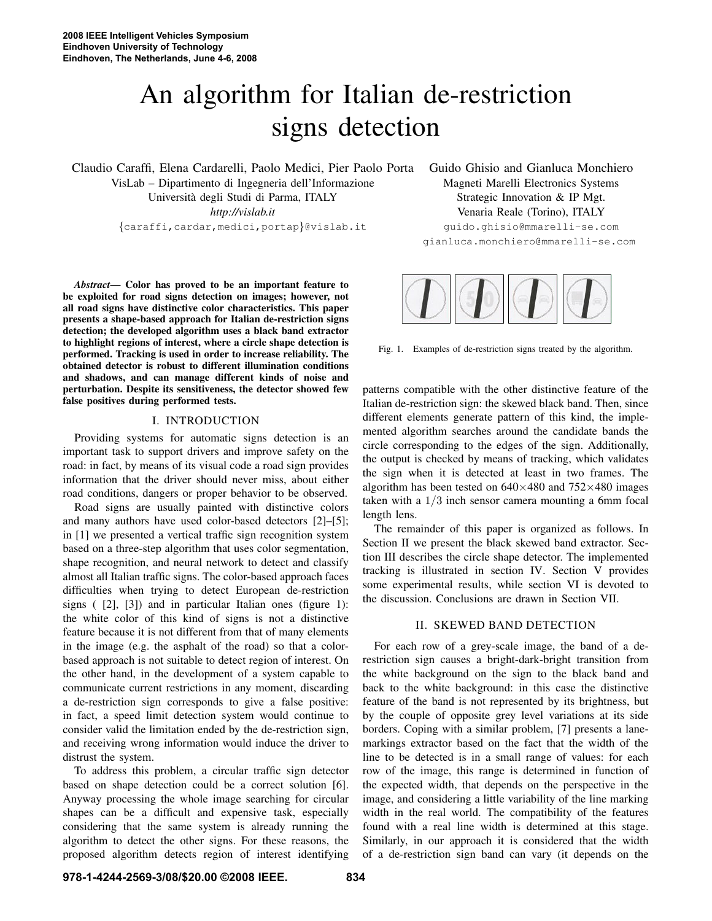# An algorithm for Italian de-restriction signs detection

Claudio Caraffi, Elena Cardarelli, Paolo Medici, Pier Paolo Porta VisLab – Dipartimento di Ingegneria dell'Informazione Universita degli Studi di Parma, ITALY ` *http://vislab.it* {caraffi,cardar,medici,portap}@vislab.it

*Abstract*— Color has proved to be an important feature to be exploited for road signs detection on images; however, not all road signs have distinctive color characteristics. This paper presents a shape-based approach for Italian de-restriction signs detection; the developed algorithm uses a black band extractor to highlight regions of interest, where a circle shape detection is performed. Tracking is used in order to increase reliability. The obtained detector is robust to different illumination conditions and shadows, and can manage different kinds of noise and perturbation. Despite its sensitiveness, the detector showed few false positives during performed tests.

#### I. INTRODUCTION

Providing systems for automatic signs detection is an important task to support drivers and improve safety on the road: in fact, by means of its visual code a road sign provides information that the driver should never miss, about either road conditions, dangers or proper behavior to be observed.

Road signs are usually painted with distinctive colors and many authors have used color-based detectors [2]–[5]; in [1] we presented a vertical traffic sign recognition system based on a three-step algorithm that uses color segmentation, shape recognition, and neural network to detect and classify almost all Italian traffic signs. The color-based approach faces difficulties when trying to detect European de-restriction signs ( [2], [3]) and in particular Italian ones (figure 1): the white color of this kind of signs is not a distinctive feature because it is not different from that of many elements in the image (e.g. the asphalt of the road) so that a colorbased approach is not suitable to detect region of interest. On the other hand, in the development of a system capable to communicate current restrictions in any moment, discarding a de-restriction sign corresponds to give a false positive: in fact, a speed limit detection system would continue to consider valid the limitation ended by the de-restriction sign, and receiving wrong information would induce the driver to distrust the system.

To address this problem, a circular traffic sign detector based on shape detection could be a correct solution [6]. Anyway processing the whole image searching for circular shapes can be a difficult and expensive task, especially considering that the same system is already running the algorithm to detect the other signs. For these reasons, the proposed algorithm detects region of interest identifying Guido Ghisio and Gianluca Monchiero Magneti Marelli Electronics Systems Strategic Innovation & IP Mgt. Venaria Reale (Torino), ITALY

guido.ghisio@mmarelli-se.com gianluca.monchiero@mmarelli-se.com



Fig. 1. Examples of de-restriction signs treated by the algorithm.

patterns compatible with the other distinctive feature of the Italian de-restriction sign: the skewed black band. Then, since different elements generate pattern of this kind, the implemented algorithm searches around the candidate bands the circle corresponding to the edges of the sign. Additionally, the output is checked by means of tracking, which validates the sign when it is detected at least in two frames. The algorithm has been tested on  $640\times480$  and  $752\times480$  images taken with a  $1/3$  inch sensor camera mounting a 6mm focal length lens.

The remainder of this paper is organized as follows. In Section II we present the black skewed band extractor. Section III describes the circle shape detector. The implemented tracking is illustrated in section IV. Section V provides some experimental results, while section VI is devoted to the discussion. Conclusions are drawn in Section VII.

#### II. SKEWED BAND DETECTION

For each row of a grey-scale image, the band of a derestriction sign causes a bright-dark-bright transition from the white background on the sign to the black band and back to the white background: in this case the distinctive feature of the band is not represented by its brightness, but by the couple of opposite grey level variations at its side borders. Coping with a similar problem, [7] presents a lanemarkings extractor based on the fact that the width of the line to be detected is in a small range of values: for each row of the image, this range is determined in function of the expected width, that depends on the perspective in the image, and considering a little variability of the line marking width in the real world. The compatibility of the features found with a real line width is determined at this stage. Similarly, in our approach it is considered that the width of a de-restriction sign band can vary (it depends on the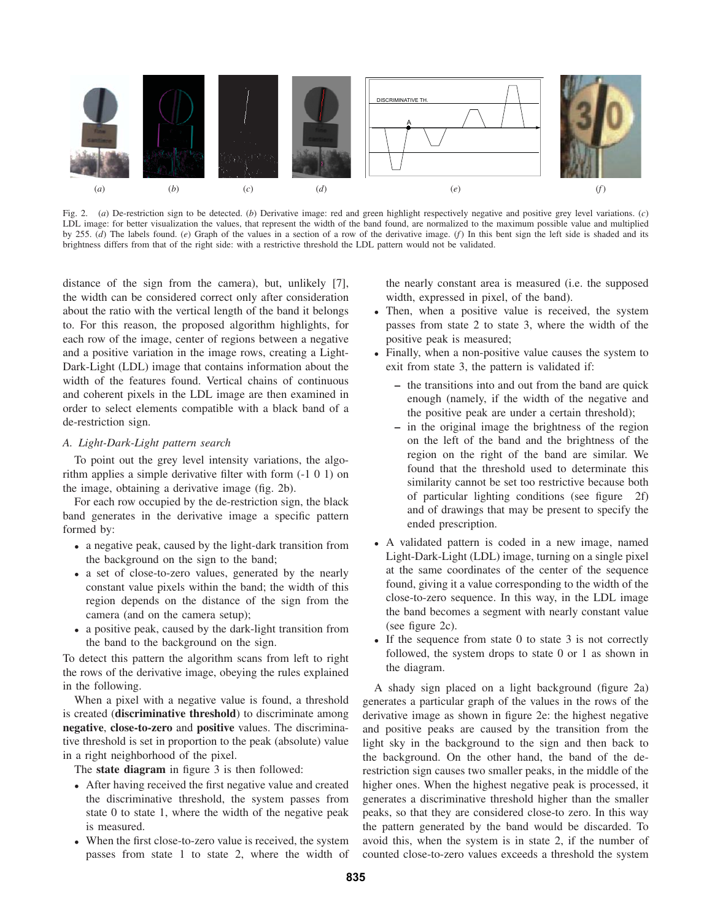

Fig. 2. (*a*) De-restriction sign to be detected. (*b*) Derivative image: red and green highlight respectively negative and positive grey level variations. (*c*) LDL image: for better visualization the values, that represent the width of the band found, are normalized to the maximum possible value and multiplied by 255. (*d*) The labels found. (*e*) Graph of the values in a section of a row of the derivative image. (*f*) In this bent sign the left side is shaded and its brightness differs from that of the right side: with a restrictive threshold the LDL pattern would not be validated.

distance of the sign from the camera), but, unlikely [7], the width can be considered correct only after consideration about the ratio with the vertical length of the band it belongs to. For this reason, the proposed algorithm highlights, for each row of the image, center of regions between a negative and a positive variation in the image rows, creating a Light-Dark-Light (LDL) image that contains information about the width of the features found. Vertical chains of continuous and coherent pixels in the LDL image are then examined in order to select elements compatible with a black band of a de-restriction sign.

## *A. Light-Dark-Light pattern search*

To point out the grey level intensity variations, the algorithm applies a simple derivative filter with form (-1 0 1) on the image, obtaining a derivative image (fig. 2b).

For each row occupied by the de-restriction sign, the black band generates in the derivative image a specific pattern formed by:

- a negative peak, caused by the light-dark transition from the background on the sign to the band;
- a set of close-to-zero values, generated by the nearly constant value pixels within the band; the width of this region depends on the distance of the sign from the camera (and on the camera setup);
- a positive peak, caused by the dark-light transition from the band to the background on the sign.

To detect this pattern the algorithm scans from left to right the rows of the derivative image, obeying the rules explained in the following.

When a pixel with a negative value is found, a threshold is created (discriminative threshold) to discriminate among negative, close-to-zero and positive values. The discriminative threshold is set in proportion to the peak (absolute) value in a right neighborhood of the pixel.

The state diagram in figure 3 is then followed:

- After having received the first negative value and created the discriminative threshold, the system passes from state 0 to state 1, where the width of the negative peak is measured.
- When the first close-to-zero value is received, the system passes from state 1 to state 2, where the width of

the nearly constant area is measured (i.e. the supposed width, expressed in pixel, of the band).

- Then, when a positive value is received, the system passes from state 2 to state 3, where the width of the positive peak is measured;
- Finally, when a non-positive value causes the system to exit from state 3, the pattern is validated if:
	- the transitions into and out from the band are quick enough (namely, if the width of the negative and the positive peak are under a certain threshold);
	- in the original image the brightness of the region on the left of the band and the brightness of the region on the right of the band are similar. We found that the threshold used to determinate this similarity cannot be set too restrictive because both of particular lighting conditions (see figure 2f) and of drawings that may be present to specify the ended prescription.
- A validated pattern is coded in a new image, named Light-Dark-Light (LDL) image, turning on a single pixel at the same coordinates of the center of the sequence found, giving it a value corresponding to the width of the close-to-zero sequence. In this way, in the LDL image the band becomes a segment with nearly constant value (see figure 2c).
- If the sequence from state 0 to state 3 is not correctly followed, the system drops to state 0 or 1 as shown in the diagram.

A shady sign placed on a light background (figure 2a) generates a particular graph of the values in the rows of the derivative image as shown in figure 2e: the highest negative and positive peaks are caused by the transition from the light sky in the background to the sign and then back to the background. On the other hand, the band of the derestriction sign causes two smaller peaks, in the middle of the higher ones. When the highest negative peak is processed, it generates a discriminative threshold higher than the smaller peaks, so that they are considered close-to zero. In this way the pattern generated by the band would be discarded. To avoid this, when the system is in state 2, if the number of counted close-to-zero values exceeds a threshold the system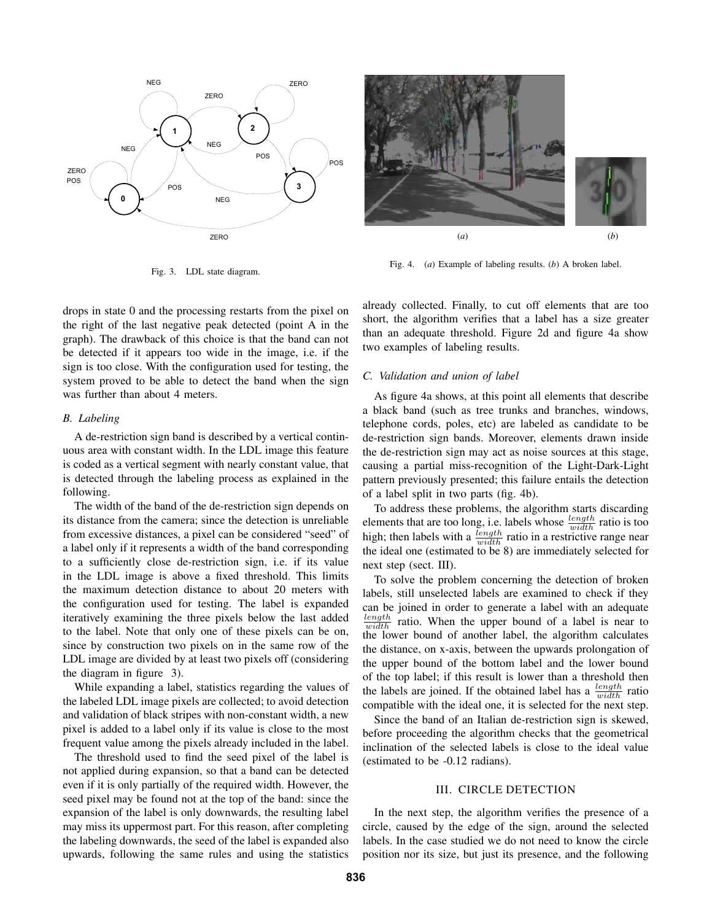

Fig. 3. LDL state diagram.

drops in state 0 and the processing restarts from the pixel on the right of the last negative peak detected (point A in the graph). The drawback of this choice is that the band can not be detected if it appears too wide in the image, i.e. if the sign is too close. With the configuration used for testing, the system proved to be able to detect the band when the sign was further than about 4 meters.

#### *B. Labeling*

A de-restriction sign band is described by a vertical continuous area with constant width. In the LDL image this feature is coded as a vertical segment with nearly constant value, that is detected through the labeling process as explained in the following.

The width of the band of the de-restriction sign depends on its distance from the camera; since the detection is unreliable from excessive distances, a pixel can be considered "seed" of a label only if it represents a width of the band corresponding to a sufficiently close de-restriction sign, i.e. if its value in the LDL image is above a fixed threshold. This limits the maximum detection distance to about 20 meters with the configuration used for testing. The label is expanded iteratively examining the three pixels below the last added to the label. Note that only one of these pixels can be on, since by construction two pixels on in the same row of the LDL image are divided by at least two pixels off (considering the diagram in figure 3).

While expanding a label, statistics regarding the values of the labeled LDL image pixels are collected; to avoid detection and validation of black stripes with non-constant width, a new pixel is added to a label only if its value is close to the most frequent value among the pixels already included in the label.

The threshold used to find the seed pixel of the label is not applied during expansion, so that a band can be detected even if it is only partially of the required width. However, the seed pixel may be found not at the top of the band: since the expansion of the label is only downwards, the resulting label may miss its uppermost part. For this reason, after completing the labeling downwards, the seed of the label is expanded also upwards, following the same rules and using the statistics



Fig. 4. (*a*) Example of labeling results. (*b*) A broken label.

already collected. Finally, to cut off elements that are too short, the algorithm verifies that a label has a size greater than an adequate threshold. Figure 2d and figure 4a show two examples of labeling results.

## *C. Validation and union of label*

As figure 4a shows, at this point all elements that describe a black band (such as tree trunks and branches, windows, telephone cords, poles, etc) are labeled as candidate to be de-restriction sign bands. Moreover, elements drawn inside the de-restriction sign may act as noise sources at this stage, causing a partial miss-recognition of the Light-Dark-Light pattern previously presented; this failure entails the detection of a label split in two parts (fig. 4b).

To address these problems, the algorithm starts discarding elements that are too long, i.e. labels whose  $\frac{length}{width}$  ratio is too high; then labels with a  $\frac{length}{width}$  ratio in a restrictive range near the ideal one (estimated to be 8) are immediately selected for next step (sect. III).

To solve the problem concerning the detection of broken labels, still unselected labels are examined to check if they can be joined in order to generate a label with an adequate  $\frac{length}{width}$  ratio. When the upper bound of a label is near to the lower bound of another label, the algorithm calculates the distance, on x-axis, between the upwards prolongation of the upper bound of the bottom label and the lower bound of the top label; if this result is lower than a threshold then the labels are joined. If the obtained label has a  $\frac{length}{width}$  ratio compatible with the ideal one, it is selected for the next step.

Since the band of an Italian de-restriction sign is skewed, before proceeding the algorithm checks that the geometrical inclination of the selected labels is close to the ideal value (estimated to be -0.12 radians).

## III. CIRCLE DETECTION

In the next step, the algorithm verifies the presence of a circle, caused by the edge of the sign, around the selected labels. In the case studied we do not need to know the circle position nor its size, but just its presence, and the following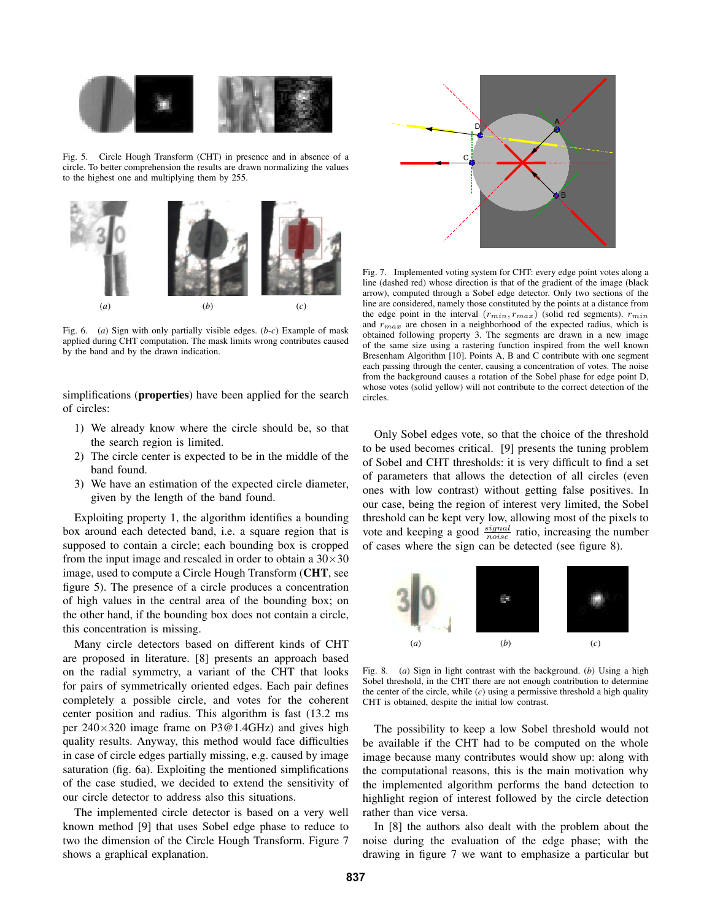

Fig. 5. Circle Hough Transform (CHT) in presence and in absence of a circle. To better comprehension the results are drawn normalizing the values to the highest one and multiplying them by 255.



Fig. 6. (*a*) Sign with only partially visible edges. (*b*-*c*) Example of mask applied during CHT computation. The mask limits wrong contributes caused by the band and by the drawn indication.

simplifications (**properties**) have been applied for the search of circles:

- 1) We already know where the circle should be, so that the search region is limited.
- 2) The circle center is expected to be in the middle of the band found.
- 3) We have an estimation of the expected circle diameter, given by the length of the band found.

Exploiting property 1, the algorithm identifies a bounding box around each detected band, i.e. a square region that is supposed to contain a circle; each bounding box is cropped from the input image and rescaled in order to obtain a  $30 \times 30$ image, used to compute a Circle Hough Transform (CHT, see figure 5). The presence of a circle produces a concentration of high values in the central area of the bounding box; on the other hand, if the bounding box does not contain a circle, this concentration is missing.

Many circle detectors based on different kinds of CHT are proposed in literature. [8] presents an approach based on the radial symmetry, a variant of the CHT that looks for pairs of symmetrically oriented edges. Each pair defines completely a possible circle, and votes for the coherent center position and radius. This algorithm is fast (13.2 ms per 240×320 image frame on P3@1.4GHz) and gives high quality results. Anyway, this method would face difficulties in case of circle edges partially missing, e.g. caused by image saturation (fig. 6a). Exploiting the mentioned simplifications of the case studied, we decided to extend the sensitivity of our circle detector to address also this situations.

The implemented circle detector is based on a very well known method [9] that uses Sobel edge phase to reduce to two the dimension of the Circle Hough Transform. Figure 7 shows a graphical explanation.



Fig. 7. Implemented voting system for CHT: every edge point votes along a line (dashed red) whose direction is that of the gradient of the image (black arrow), computed through a Sobel edge detector. Only two sections of the line are considered, namely those constituted by the points at a distance from the edge point in the interval  $(r_{min}, r_{max})$  (solid red segments).  $r_{min}$ and  $r_{max}$  are chosen in a neighborhood of the expected radius, which is obtained following property 3. The segments are drawn in a new image of the same size using a rastering function inspired from the well known Bresenham Algorithm [10]. Points A, B and C contribute with one segment each passing through the center, causing a concentration of votes. The noise from the background causes a rotation of the Sobel phase for edge point D, whose votes (solid yellow) will not contribute to the correct detection of the circles.

Only Sobel edges vote, so that the choice of the threshold to be used becomes critical. [9] presents the tuning problem of Sobel and CHT thresholds: it is very difficult to find a set of parameters that allows the detection of all circles (even ones with low contrast) without getting false positives. In our case, being the region of interest very limited, the Sobel threshold can be kept very low, allowing most of the pixels to vote and keeping a good  $\frac{signal}{noise}$  ratio, increasing the number of cases where the sign can be detected (see figure 8).



Fig. 8. (*a*) Sign in light contrast with the background. (*b*) Using a high Sobel threshold, in the CHT there are not enough contribution to determine the center of the circle, while (*c*) using a permissive threshold a high quality CHT is obtained, despite the initial low contrast.

The possibility to keep a low Sobel threshold would not be available if the CHT had to be computed on the whole image because many contributes would show up: along with the computational reasons, this is the main motivation why the implemented algorithm performs the band detection to highlight region of interest followed by the circle detection rather than vice versa.

In [8] the authors also dealt with the problem about the noise during the evaluation of the edge phase; with the drawing in figure 7 we want to emphasize a particular but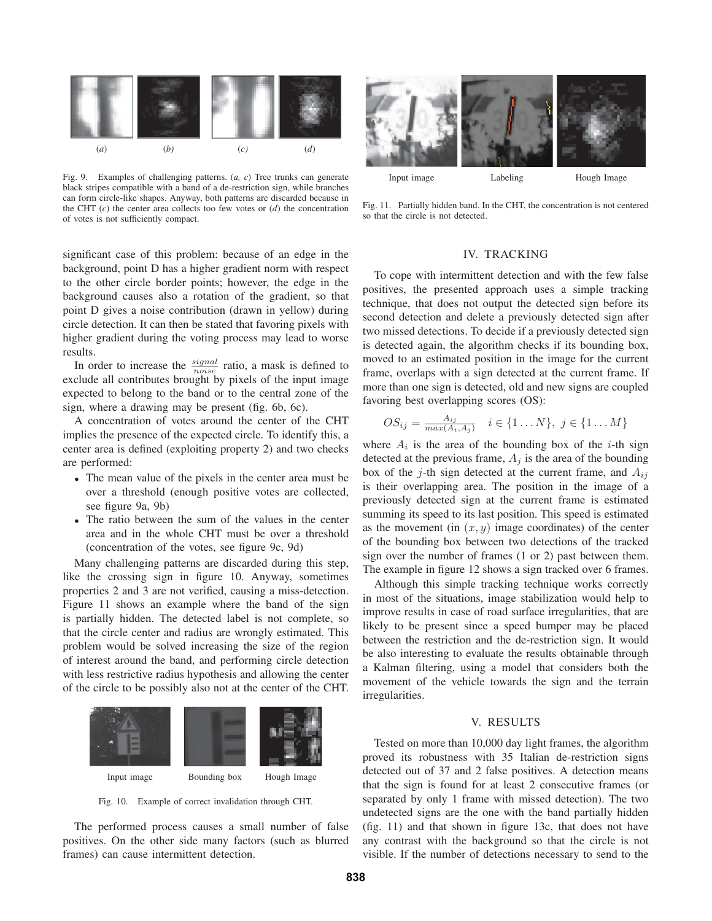

Fig. 9. Examples of challenging patterns. (*a, c*) Tree trunks can generate black stripes compatible with a band of a de-restriction sign, while branches can form circle-like shapes. Anyway, both patterns are discarded because in the CHT (*c*) the center area collects too few votes or (*d*) the concentration of votes is not sufficiently compact.

significant case of this problem: because of an edge in the background, point D has a higher gradient norm with respect to the other circle border points; however, the edge in the background causes also a rotation of the gradient, so that point D gives a noise contribution (drawn in yellow) during circle detection. It can then be stated that favoring pixels with higher gradient during the voting process may lead to worse results.

In order to increase the  $\frac{signal}{noise}$  ratio, a mask is defined to exclude all contributes brought by pixels of the input image expected to belong to the band or to the central zone of the sign, where a drawing may be present (fig. 6b, 6c).

A concentration of votes around the center of the CHT implies the presence of the expected circle. To identify this, a center area is defined (exploiting property 2) and two checks are performed:

- The mean value of the pixels in the center area must be over a threshold (enough positive votes are collected, see figure 9a, 9b)
- The ratio between the sum of the values in the center area and in the whole CHT must be over a threshold (concentration of the votes, see figure 9c, 9d)

Many challenging patterns are discarded during this step, like the crossing sign in figure 10. Anyway, sometimes properties 2 and 3 are not verified, causing a miss-detection. Figure 11 shows an example where the band of the sign is partially hidden. The detected label is not complete, so that the circle center and radius are wrongly estimated. This problem would be solved increasing the size of the region of interest around the band, and performing circle detection with less restrictive radius hypothesis and allowing the center of the circle to be possibly also not at the center of the CHT.



Fig. 10. Example of correct invalidation through CHT.

The performed process causes a small number of false positives. On the other side many factors (such as blurred frames) can cause intermittent detection.



Fig. 11. Partially hidden band. In the CHT, the concentration is not centered so that the circle is not detected.

#### IV. TRACKING

To cope with intermittent detection and with the few false positives, the presented approach uses a simple tracking technique, that does not output the detected sign before its second detection and delete a previously detected sign after two missed detections. To decide if a previously detected sign is detected again, the algorithm checks if its bounding box, moved to an estimated position in the image for the current frame, overlaps with a sign detected at the current frame. If more than one sign is detected, old and new signs are coupled favoring best overlapping scores (OS):

$$
OS_{ij} = \frac{A_{ij}}{max(A_i, A_j)} \quad i \in \{1...N\}, \ j \in \{1...M\}
$$

where  $A_i$  is the area of the bounding box of the *i*-th sign detected at the previous frame,  $A_i$  is the area of the bounding box of the j-th sign detected at the current frame, and  $A_{ij}$ is their overlapping area. The position in the image of a previously detected sign at the current frame is estimated summing its speed to its last position. This speed is estimated as the movement (in  $(x, y)$  image coordinates) of the center of the bounding box between two detections of the tracked sign over the number of frames (1 or 2) past between them. The example in figure 12 shows a sign tracked over 6 frames.

Although this simple tracking technique works correctly in most of the situations, image stabilization would help to improve results in case of road surface irregularities, that are likely to be present since a speed bumper may be placed between the restriction and the de-restriction sign. It would be also interesting to evaluate the results obtainable through a Kalman filtering, using a model that considers both the movement of the vehicle towards the sign and the terrain irregularities.

## V. RESULTS

Tested on more than 10,000 day light frames, the algorithm proved its robustness with 35 Italian de-restriction signs detected out of 37 and 2 false positives. A detection means that the sign is found for at least 2 consecutive frames (or separated by only 1 frame with missed detection). The two undetected signs are the one with the band partially hidden (fig. 11) and that shown in figure 13c, that does not have any contrast with the background so that the circle is not visible. If the number of detections necessary to send to the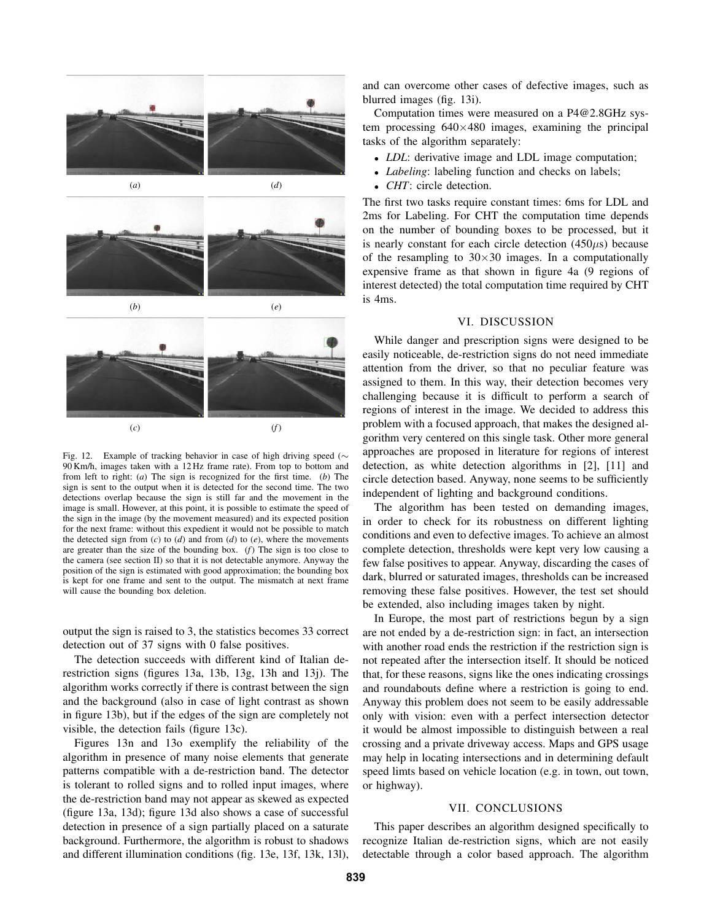

Fig. 12. Example of tracking behavior in case of high driving speed (∼ 90 Km/h, images taken with a 12 Hz frame rate). From top to bottom and from left to right: (*a*) The sign is recognized for the first time. (*b*) The sign is sent to the output when it is detected for the second time. The two detections overlap because the sign is still far and the movement in the image is small. However, at this point, it is possible to estimate the speed of the sign in the image (by the movement measured) and its expected position for the next frame: without this expedient it would not be possible to match the detected sign from  $(c)$  to  $(d)$  and from  $(d)$  to  $(e)$ , where the movements are greater than the size of the bounding box. (*f*) The sign is too close to the camera (see section II) so that it is not detectable anymore. Anyway the position of the sign is estimated with good approximation; the bounding box is kept for one frame and sent to the output. The mismatch at next frame will cause the bounding box deletion.

output the sign is raised to 3, the statistics becomes 33 correct detection out of 37 signs with 0 false positives.

The detection succeeds with different kind of Italian derestriction signs (figures 13a, 13b, 13g, 13h and 13j). The algorithm works correctly if there is contrast between the sign and the background (also in case of light contrast as shown in figure 13b), but if the edges of the sign are completely not visible, the detection fails (figure 13c).

Figures 13n and 13o exemplify the reliability of the algorithm in presence of many noise elements that generate patterns compatible with a de-restriction band. The detector is tolerant to rolled signs and to rolled input images, where the de-restriction band may not appear as skewed as expected (figure 13a, 13d); figure 13d also shows a case of successful detection in presence of a sign partially placed on a saturate background. Furthermore, the algorithm is robust to shadows and different illumination conditions (fig. 13e, 13f, 13k, 13l),

and can overcome other cases of defective images, such as blurred images (fig. 13i).

Computation times were measured on a P4@2.8GHz system processing  $640\times480$  images, examining the principal tasks of the algorithm separately:

- *LDL*: derivative image and LDL image computation;
- Labeling: labeling function and checks on labels;
- *CHT*: circle detection.

The first two tasks require constant times: 6ms for LDL and 2ms for Labeling. For CHT the computation time depends on the number of bounding boxes to be processed, but it is nearly constant for each circle detection  $(450\mu s)$  because of the resampling to  $30 \times 30$  images. In a computationally expensive frame as that shown in figure 4a (9 regions of interest detected) the total computation time required by CHT is 4ms.

#### VI. DISCUSSION

While danger and prescription signs were designed to be easily noticeable, de-restriction signs do not need immediate attention from the driver, so that no peculiar feature was assigned to them. In this way, their detection becomes very challenging because it is difficult to perform a search of regions of interest in the image. We decided to address this problem with a focused approach, that makes the designed algorithm very centered on this single task. Other more general approaches are proposed in literature for regions of interest detection, as white detection algorithms in [2], [11] and circle detection based. Anyway, none seems to be sufficiently independent of lighting and background conditions.

The algorithm has been tested on demanding images, in order to check for its robustness on different lighting conditions and even to defective images. To achieve an almost complete detection, thresholds were kept very low causing a few false positives to appear. Anyway, discarding the cases of dark, blurred or saturated images, thresholds can be increased removing these false positives. However, the test set should be extended, also including images taken by night.

In Europe, the most part of restrictions begun by a sign are not ended by a de-restriction sign: in fact, an intersection with another road ends the restriction if the restriction sign is not repeated after the intersection itself. It should be noticed that, for these reasons, signs like the ones indicating crossings and roundabouts define where a restriction is going to end. Anyway this problem does not seem to be easily addressable only with vision: even with a perfect intersection detector it would be almost impossible to distinguish between a real crossing and a private driveway access. Maps and GPS usage may help in locating intersections and in determining default speed limts based on vehicle location (e.g. in town, out town, or highway).

#### VII. CONCLUSIONS

This paper describes an algorithm designed specifically to recognize Italian de-restriction signs, which are not easily detectable through a color based approach. The algorithm